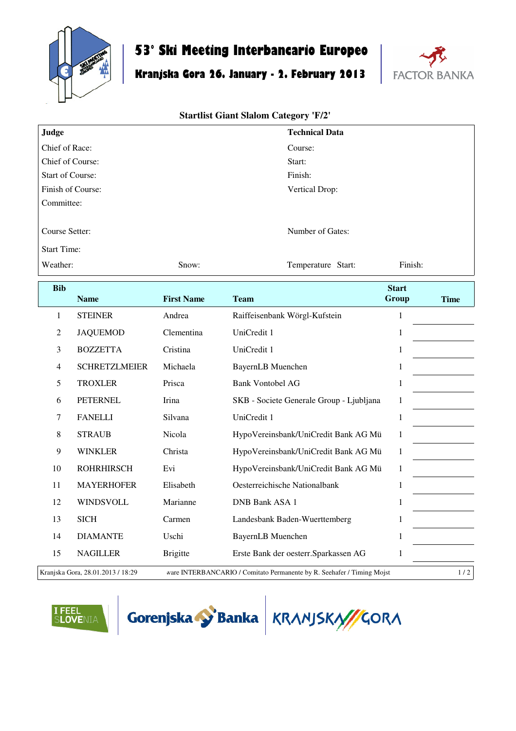

## **53° Ski Meeting Interbancario Europeo**

## **Kranjska Gora 26. January - 2. February 2013**



## **Startlist Giant Slalom Category 'F/2'**

| Judge                   |                      |                   | <b>Technical Data</b>                    |              |             |  |  |
|-------------------------|----------------------|-------------------|------------------------------------------|--------------|-------------|--|--|
| Chief of Race:          |                      |                   | Course:                                  |              |             |  |  |
| Chief of Course:        |                      |                   | Start:                                   |              |             |  |  |
| <b>Start of Course:</b> |                      |                   | Finish:                                  |              |             |  |  |
| Finish of Course:       |                      |                   | Vertical Drop:                           |              |             |  |  |
| Committee:              |                      |                   |                                          |              |             |  |  |
| Course Setter:          |                      |                   | Number of Gates:                         |              |             |  |  |
| <b>Start Time:</b>      |                      |                   |                                          |              |             |  |  |
| Weather:                |                      | Snow:             | Temperature Start:                       | Finish:      |             |  |  |
| <b>Bib</b>              |                      |                   |                                          | <b>Start</b> |             |  |  |
|                         | <b>Name</b>          | <b>First Name</b> | <b>Team</b>                              | Group        | <b>Time</b> |  |  |
| 1                       | <b>STEINER</b>       | Andrea            | Raiffeisenbank Wörgl-Kufstein            | $\mathbf{1}$ |             |  |  |
| $\mathfrak{2}$          | <b>JAQUEMOD</b>      | Clementina        | UniCredit 1                              | $\mathbf{1}$ |             |  |  |
| 3                       | <b>BOZZETTA</b>      | Cristina          | UniCredit 1                              | $\mathbf{1}$ |             |  |  |
| $\overline{4}$          | <b>SCHRETZLMEIER</b> | Michaela          | <b>BayernLB</b> Muenchen                 | $\mathbf{1}$ |             |  |  |
| 5                       | <b>TROXLER</b>       | Prisca            | <b>Bank Vontobel AG</b>                  | $\,1$        |             |  |  |
| 6                       | <b>PETERNEL</b>      | Irina             | SKB - Societe Generale Group - Ljubljana | $\mathbf{1}$ |             |  |  |
| 7                       | <b>FANELLI</b>       | Silvana           | UniCredit 1                              | $\mathbf{1}$ |             |  |  |
| $8\,$                   | <b>STRAUB</b>        | Nicola            | HypoVereinsbank/UniCredit Bank AG Mü     | $\mathbf{1}$ |             |  |  |
| 9                       | <b>WINKLER</b>       | Christa           | HypoVereinsbank/UniCredit Bank AG Mü     | $\mathbf{1}$ |             |  |  |
| 10                      | <b>ROHRHIRSCH</b>    | Evi               | HypoVereinsbank/UniCredit Bank AG Mü     | $\mathbf{1}$ |             |  |  |
| 11                      | <b>MAYERHOFER</b>    | Elisabeth         | Oesterreichische Nationalbank            | $\mathbf{1}$ |             |  |  |
| 12                      | WINDSVOLL            | Marianne          | DNB Bank ASA 1                           | $\mathbf{1}$ |             |  |  |
| 13                      | <b>SICH</b>          | Carmen            | Landesbank Baden-Wuerttemberg            | $\mathbf{1}$ |             |  |  |
| 14                      | <b>DIAMANTE</b>      | Uschi             | BayernLB Muenchen                        | $\mathbf{1}$ |             |  |  |
| 15                      | <b>NAGILLER</b>      | <b>Brigitte</b>   | Erste Bank der oesterr. Sparkassen AG    | $\mathbf{1}$ |             |  |  |

Kranjska Gora, 28.01.2013 / 18:29 ware INTERBANCARIO / Comitato Permanente by R. Seehafer / Timing Mojst 1 / 2